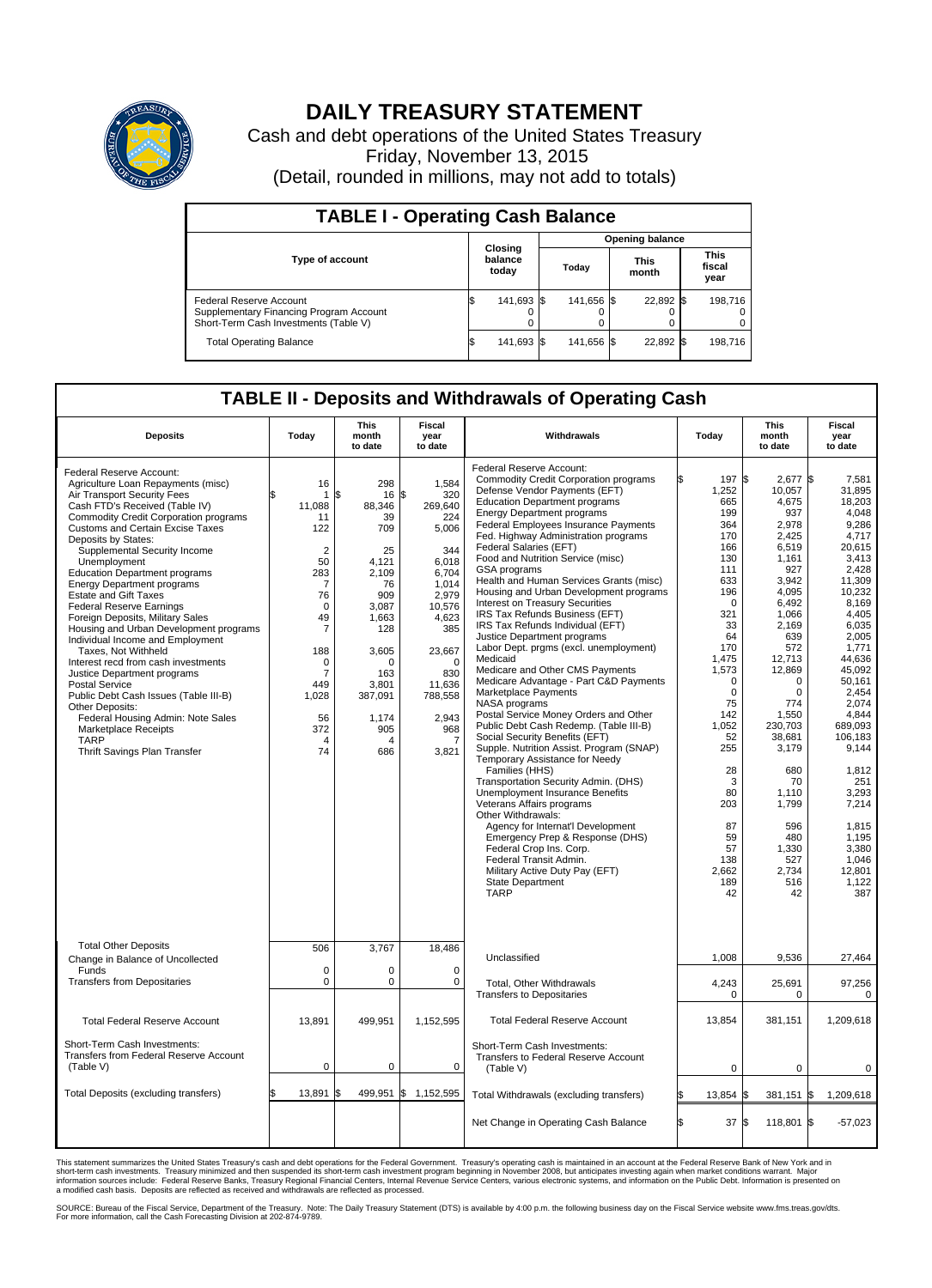

## **DAILY TREASURY STATEMENT**

Cash and debt operations of the United States Treasury Friday, November 13, 2015 (Detail, rounded in millions, may not add to totals)

| <b>TABLE I - Operating Cash Balance</b>                                                                     |  |                             |                        |            |  |                      |  |                               |  |  |
|-------------------------------------------------------------------------------------------------------------|--|-----------------------------|------------------------|------------|--|----------------------|--|-------------------------------|--|--|
|                                                                                                             |  |                             | <b>Opening balance</b> |            |  |                      |  |                               |  |  |
| <b>Type of account</b>                                                                                      |  | Closing<br>balance<br>today |                        | Todav      |  | <b>This</b><br>month |  | <b>This</b><br>fiscal<br>year |  |  |
| Federal Reserve Account<br>Supplementary Financing Program Account<br>Short-Term Cash Investments (Table V) |  | 141,693 \$                  |                        | 141.656 \$ |  | 22,892 \$            |  | 198.716                       |  |  |
| <b>Total Operating Balance</b>                                                                              |  | 141,693 \$                  |                        | 141,656 \$ |  | 22,892 \$            |  | 198,716                       |  |  |

## **TABLE II - Deposits and Withdrawals of Operating Cash**

|                                                                                                                                                                                                                                                                                                                                                                                                                                                                                                                                                                                                                                                                                                                                                                                                                                                                          |                                                                                                                                                                                                                            | <b>This</b>                                                                                                                                                                         | <b>Fiscal</b>                                                                                                                                                                                |                                                                                                                                                                                                                                                                                                                                                                                                                                                                                                                                                                                                                                                                                                                                                                                                                                                                                                                                                                                                                                                                                                                                                                                                                                                                                                                                          |                                                                                                                                                                                                                                                                          | <b>This</b>                                                                                                                                                                                                                                                                                                                | <b>Fiscal</b>                                                                                                                                                                                                                                                                                                                                    |
|--------------------------------------------------------------------------------------------------------------------------------------------------------------------------------------------------------------------------------------------------------------------------------------------------------------------------------------------------------------------------------------------------------------------------------------------------------------------------------------------------------------------------------------------------------------------------------------------------------------------------------------------------------------------------------------------------------------------------------------------------------------------------------------------------------------------------------------------------------------------------|----------------------------------------------------------------------------------------------------------------------------------------------------------------------------------------------------------------------------|-------------------------------------------------------------------------------------------------------------------------------------------------------------------------------------|----------------------------------------------------------------------------------------------------------------------------------------------------------------------------------------------|------------------------------------------------------------------------------------------------------------------------------------------------------------------------------------------------------------------------------------------------------------------------------------------------------------------------------------------------------------------------------------------------------------------------------------------------------------------------------------------------------------------------------------------------------------------------------------------------------------------------------------------------------------------------------------------------------------------------------------------------------------------------------------------------------------------------------------------------------------------------------------------------------------------------------------------------------------------------------------------------------------------------------------------------------------------------------------------------------------------------------------------------------------------------------------------------------------------------------------------------------------------------------------------------------------------------------------------|--------------------------------------------------------------------------------------------------------------------------------------------------------------------------------------------------------------------------------------------------------------------------|----------------------------------------------------------------------------------------------------------------------------------------------------------------------------------------------------------------------------------------------------------------------------------------------------------------------------|--------------------------------------------------------------------------------------------------------------------------------------------------------------------------------------------------------------------------------------------------------------------------------------------------------------------------------------------------|
| <b>Deposits</b>                                                                                                                                                                                                                                                                                                                                                                                                                                                                                                                                                                                                                                                                                                                                                                                                                                                          | Today                                                                                                                                                                                                                      | month<br>to date                                                                                                                                                                    | year<br>to date                                                                                                                                                                              | Withdrawals                                                                                                                                                                                                                                                                                                                                                                                                                                                                                                                                                                                                                                                                                                                                                                                                                                                                                                                                                                                                                                                                                                                                                                                                                                                                                                                              | Today                                                                                                                                                                                                                                                                    | month<br>to date                                                                                                                                                                                                                                                                                                           | year<br>to date                                                                                                                                                                                                                                                                                                                                  |
| Federal Reserve Account:<br>Agriculture Loan Repayments (misc)<br>Air Transport Security Fees<br>Cash FTD's Received (Table IV)<br><b>Commodity Credit Corporation programs</b><br><b>Customs and Certain Excise Taxes</b><br>Deposits by States:<br>Supplemental Security Income<br>Unemployment<br><b>Education Department programs</b><br><b>Energy Department programs</b><br><b>Estate and Gift Taxes</b><br><b>Federal Reserve Earnings</b><br>Foreign Deposits, Military Sales<br>Housing and Urban Development programs<br>Individual Income and Employment<br>Taxes, Not Withheld<br>Interest recd from cash investments<br>Justice Department programs<br><b>Postal Service</b><br>Public Debt Cash Issues (Table III-B)<br>Other Deposits:<br>Federal Housing Admin: Note Sales<br><b>Marketplace Receipts</b><br><b>TARP</b><br>Thrift Savings Plan Transfer | 16<br>$\mathbf{1}$<br>11,088<br>11<br>122<br>$\overline{2}$<br>50<br>283<br>$\overline{7}$<br>76<br>$\mathbf 0$<br>49<br>$\overline{7}$<br>188<br>0<br>$\overline{7}$<br>449<br>1,028<br>56<br>372<br>$\overline{4}$<br>74 | 298<br>16 \$<br>\$<br>88,346<br>39<br>709<br>25<br>4,121<br>2,109<br>76<br>909<br>3.087<br>1,663<br>128<br>3,605<br>$\Omega$<br>163<br>3,801<br>387,091<br>1,174<br>905<br>Δ<br>686 | 1,584<br>320<br>269,640<br>224<br>5,006<br>344<br>6,018<br>6.704<br>1,014<br>2,979<br>10,576<br>4,623<br>385<br>23,667<br>$\Omega$<br>830<br>11,636<br>788,558<br>2,943<br>968<br>7<br>3,821 | Federal Reserve Account:<br><b>Commodity Credit Corporation programs</b><br>Defense Vendor Payments (EFT)<br><b>Education Department programs</b><br><b>Energy Department programs</b><br>Federal Employees Insurance Payments<br>Fed. Highway Administration programs<br>Federal Salaries (EFT)<br>Food and Nutrition Service (misc)<br><b>GSA</b> programs<br>Health and Human Services Grants (misc)<br>Housing and Urban Development programs<br>Interest on Treasury Securities<br>IRS Tax Refunds Business (EFT)<br>IRS Tax Refunds Individual (EFT)<br>Justice Department programs<br>Labor Dept. prgms (excl. unemployment)<br>Medicaid<br>Medicare and Other CMS Payments<br>Medicare Advantage - Part C&D Payments<br>Marketplace Payments<br>NASA programs<br>Postal Service Money Orders and Other<br>Public Debt Cash Redemp. (Table III-B)<br>Social Security Benefits (EFT)<br>Supple. Nutrition Assist. Program (SNAP)<br>Temporary Assistance for Needy<br>Families (HHS)<br>Transportation Security Admin. (DHS)<br><b>Unemployment Insurance Benefits</b><br>Veterans Affairs programs<br>Other Withdrawals:<br>Agency for Internat'l Development<br>Emergency Prep & Response (DHS)<br>Federal Crop Ins. Corp.<br>Federal Transit Admin.<br>Military Active Duty Pay (EFT)<br><b>State Department</b><br><b>TARP</b> | 197<br>1,252<br>665<br>199<br>364<br>170<br>166<br>130<br>111<br>633<br>196<br>$\Omega$<br>321<br>33<br>64<br>170<br>1.475<br>1,573<br>$\Omega$<br>$\mathbf 0$<br>75<br>142<br>1,052<br>52<br>255<br>28<br>3<br>80<br>203<br>87<br>59<br>57<br>138<br>2,662<br>189<br>42 | l\$<br>2,677<br>10,057<br>4,675<br>937<br>2,978<br>2.425<br>6,519<br>1,161<br>927<br>3,942<br>4,095<br>6,492<br>1.066<br>2,169<br>639<br>572<br>12,713<br>12,869<br>$\Omega$<br>$\pmb{0}$<br>774<br>1,550<br>230.703<br>38,681<br>3,179<br>680<br>70<br>1.110<br>1,799<br>596<br>480<br>1,330<br>527<br>2,734<br>516<br>42 | 1\$<br>7,581<br>31,895<br>18,203<br>4.048<br>9,286<br>4.717<br>20.615<br>3,413<br>2.428<br>11,309<br>10,232<br>8,169<br>4.405<br>6,035<br>2,005<br>1,771<br>44,636<br>45,092<br>50.161<br>2,454<br>2.074<br>4,844<br>689.093<br>106,183<br>9,144<br>1,812<br>251<br>3.293<br>7,214<br>1.815<br>1,195<br>3,380<br>1.046<br>12,801<br>1,122<br>387 |
| <b>Total Other Deposits</b><br>Change in Balance of Uncollected                                                                                                                                                                                                                                                                                                                                                                                                                                                                                                                                                                                                                                                                                                                                                                                                          | 506<br>$\mathbf 0$                                                                                                                                                                                                         | 3,767<br>$\Omega$                                                                                                                                                                   | 18,486<br>$\Omega$                                                                                                                                                                           | Unclassified                                                                                                                                                                                                                                                                                                                                                                                                                                                                                                                                                                                                                                                                                                                                                                                                                                                                                                                                                                                                                                                                                                                                                                                                                                                                                                                             | 1,008                                                                                                                                                                                                                                                                    | 9,536                                                                                                                                                                                                                                                                                                                      | 27,464                                                                                                                                                                                                                                                                                                                                           |
| Funds<br><b>Transfers from Depositaries</b>                                                                                                                                                                                                                                                                                                                                                                                                                                                                                                                                                                                                                                                                                                                                                                                                                              | $\mathbf 0$                                                                                                                                                                                                                | 0                                                                                                                                                                                   | $\mathbf 0$                                                                                                                                                                                  | Total, Other Withdrawals<br><b>Transfers to Depositaries</b>                                                                                                                                                                                                                                                                                                                                                                                                                                                                                                                                                                                                                                                                                                                                                                                                                                                                                                                                                                                                                                                                                                                                                                                                                                                                             | 4,243<br>0                                                                                                                                                                                                                                                               | 25,691<br>$\mathbf 0$                                                                                                                                                                                                                                                                                                      | 97,256<br>$\mathbf 0$                                                                                                                                                                                                                                                                                                                            |
| <b>Total Federal Reserve Account</b>                                                                                                                                                                                                                                                                                                                                                                                                                                                                                                                                                                                                                                                                                                                                                                                                                                     | 13,891                                                                                                                                                                                                                     | 499,951                                                                                                                                                                             | 1,152,595                                                                                                                                                                                    | <b>Total Federal Reserve Account</b>                                                                                                                                                                                                                                                                                                                                                                                                                                                                                                                                                                                                                                                                                                                                                                                                                                                                                                                                                                                                                                                                                                                                                                                                                                                                                                     | 13,854                                                                                                                                                                                                                                                                   | 381,151                                                                                                                                                                                                                                                                                                                    | 1,209,618                                                                                                                                                                                                                                                                                                                                        |
| Short-Term Cash Investments:<br><b>Transfers from Federal Reserve Account</b><br>(Table V)                                                                                                                                                                                                                                                                                                                                                                                                                                                                                                                                                                                                                                                                                                                                                                               | $\mathbf 0$                                                                                                                                                                                                                | 0                                                                                                                                                                                   | 0                                                                                                                                                                                            | Short-Term Cash Investments:<br>Transfers to Federal Reserve Account<br>(Table V)                                                                                                                                                                                                                                                                                                                                                                                                                                                                                                                                                                                                                                                                                                                                                                                                                                                                                                                                                                                                                                                                                                                                                                                                                                                        | $\mathbf 0$                                                                                                                                                                                                                                                              | $\mathbf 0$                                                                                                                                                                                                                                                                                                                | 0                                                                                                                                                                                                                                                                                                                                                |
| Total Deposits (excluding transfers)                                                                                                                                                                                                                                                                                                                                                                                                                                                                                                                                                                                                                                                                                                                                                                                                                                     | 13,891<br>\$.                                                                                                                                                                                                              | 499,951 \$<br>\$                                                                                                                                                                    | 1,152,595                                                                                                                                                                                    | Total Withdrawals (excluding transfers)                                                                                                                                                                                                                                                                                                                                                                                                                                                                                                                                                                                                                                                                                                                                                                                                                                                                                                                                                                                                                                                                                                                                                                                                                                                                                                  | 13,854                                                                                                                                                                                                                                                                   | l\$<br>$381,151$ \$                                                                                                                                                                                                                                                                                                        | 1,209,618                                                                                                                                                                                                                                                                                                                                        |
|                                                                                                                                                                                                                                                                                                                                                                                                                                                                                                                                                                                                                                                                                                                                                                                                                                                                          |                                                                                                                                                                                                                            |                                                                                                                                                                                     |                                                                                                                                                                                              | Net Change in Operating Cash Balance                                                                                                                                                                                                                                                                                                                                                                                                                                                                                                                                                                                                                                                                                                                                                                                                                                                                                                                                                                                                                                                                                                                                                                                                                                                                                                     | l\$<br>37                                                                                                                                                                                                                                                                | l\$<br>118,801 \$                                                                                                                                                                                                                                                                                                          | $-57,023$                                                                                                                                                                                                                                                                                                                                        |

This statement summarizes the United States Treasury's cash and debt operations for the Federal Government. Treasury's operating cash is maintained in an account at the Federal Reserve Bank of New York and in<br>short-term ca

SOURCE: Bureau of the Fiscal Service, Department of the Treasury. Note: The Daily Treasury Statement (DTS) is available by 4:00 p.m. the following business day on the Fiscal Service website www.fms.treas.gov/dts.<br>For more